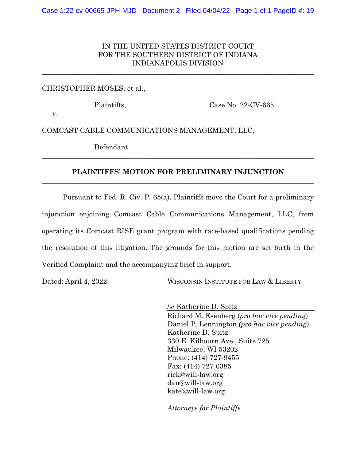# IN THE UNITED STATES DISTRICT COURT FOR THE SOUTHERN DISTRICT OF INDIANA INDIANAPOLIS DIVISION

\_\_\_\_\_\_\_\_\_\_\_\_\_\_\_\_\_\_\_\_\_\_\_\_\_\_\_\_\_\_\_\_\_\_\_\_\_\_\_\_\_\_\_\_\_\_\_\_\_\_\_\_\_\_\_\_\_\_\_\_\_\_\_\_\_\_\_\_\_\_\_\_\_\_\_\_\_\_

#### CHRISTOPHER MOSES, et al.,

Plaintiffs, Case No. 22-CV-665

v.

COMCAST CABLE COMMUNICATIONS MANAGEMENT, LLC,

Defendant.

### **PLAINTIFFS' MOTION FOR PRELIMINARY INJUNCTION** \_\_\_\_\_\_\_\_\_\_\_\_\_\_\_\_\_\_\_\_\_\_\_\_\_\_\_\_\_\_\_\_\_\_\_\_\_\_\_\_\_\_\_\_\_\_\_\_\_\_\_\_\_\_\_\_\_\_\_\_\_\_\_\_\_\_\_\_\_\_\_\_\_\_\_\_\_\_

\_\_\_\_\_\_\_\_\_\_\_\_\_\_\_\_\_\_\_\_\_\_\_\_\_\_\_\_\_\_\_\_\_\_\_\_\_\_\_\_\_\_\_\_\_\_\_\_\_\_\_\_\_\_\_\_\_\_\_\_\_\_\_\_\_\_\_\_\_\_\_\_\_\_\_\_\_\_

Pursuant to Fed. R. Civ. P. 65(a), Plaintiffs move the Court for a preliminary injunction enjoining Comcast Cable Communications Management, LLC, from operating its Comcast RISE grant program with race-based qualifications pending the resolution of this litigation. The grounds for this motion are set forth in the Verified Complaint and the accompanying brief in support.

Dated: April 4, 2022 WISCONSIN INSTITUTE FOR LAW & LIBERTY

/s/ Katherine D. Spitz Richard M. Esenberg (*pro hac vice pending*) Daniel P. Lennington *(pro hac vice pending*) Katherine D. Spitz 330 E. Kilbourn Ave., Suite 725 Milwaukee, WI 53202 Phone: (414) 727-9455 Fax: (414) 727-6385 rick@will-law.org dan@will-law.org kate@will-law.org

*Attorneys for Plaintiffs*